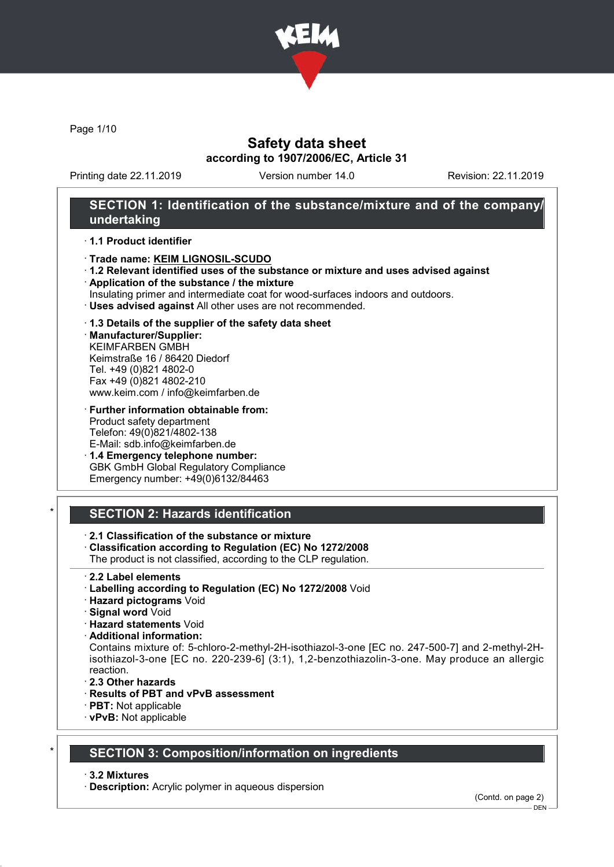

Page 1/10

# Safety data sheet according to 1907/2006/EC, Article 31

Printing date 22.11.2019 Version number 14.0 Revision: 22.11.2019

# SECTION 1: Identification of the substance/mixture and of the company/ undertaking

### · 1.1 Product identifier

- · Trade name: KEIM LIGNOSIL-SCUDO
- · 1.2 Relevant identified uses of the substance or mixture and uses advised against
- · Application of the substance / the mixture
- Insulating primer and intermediate coat for wood-surfaces indoors and outdoors.
- · Uses advised against All other uses are not recommended.

### · 1.3 Details of the supplier of the safety data sheet

· Manufacturer/Supplier: KEIMFARBEN GMBH Keimstraße 16 / 86420 Diedorf Tel. +49 (0)821 4802-0 Fax +49 (0)821 4802-210 www.keim.com / info@keimfarben.de

· Further information obtainable from: Product safety department Telefon: 49(0)821/4802-138 E-Mail: sdb.info@keimfarben.de

· 1.4 Emergency telephone number: GBK GmbH Global Regulatory Compliance Emergency number: +49(0)6132/84463

# SECTION 2: Hazards identification

- · 2.1 Classification of the substance or mixture
- · Classification according to Regulation (EC) No 1272/2008
- The product is not classified, according to the CLP regulation.
- · 2.2 Label elements
- · Labelling according to Regulation (EC) No 1272/2008 Void
- · Hazard pictograms Void
- · Signal word Void
- · Hazard statements Void
- · Additional information:

Contains mixture of: 5-chloro-2-methyl-2H-isothiazol-3-one [EC no. 247-500-7] and 2-methyl-2Hisothiazol-3-one [EC no. 220-239-6] (3:1), 1,2-benzothiazolin-3-one. May produce an allergic reaction.

- · 2.3 Other hazards
- · Results of PBT and vPvB assessment
- · PBT: Not applicable
- · vPvB: Not applicable

## **SECTION 3: Composition/information on ingredients**

· 3.2 Mixtures

· Description: Acrylic polymer in aqueous dispersion

(Contd. on page 2)

DEN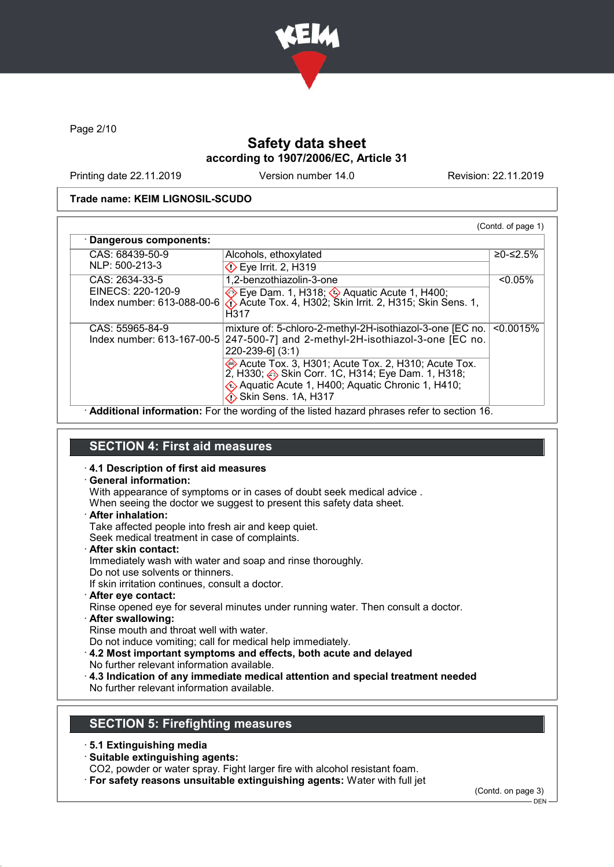

Page 2/10

# Safety data sheet according to 1907/2006/EC, Article 31

Printing date 22.11.2019 Version number 14.0 Revision: 22.11.2019

## Trade name: KEIM LIGNOSIL-SCUDO

| CAS: 68439-50-9                                 | Alcohols, ethoxylated                                                                                                                                                                  | ≥0-≤2.5%   |
|-------------------------------------------------|----------------------------------------------------------------------------------------------------------------------------------------------------------------------------------------|------------|
| NLP: 500-213-3                                  | $\Diamond$ Eye Irrit. 2, H319                                                                                                                                                          |            |
| CAS: 2634-33-5                                  | 1,2-benzothiazolin-3-one                                                                                                                                                               | $< 0.05\%$ |
| EINECS: 220-120-9<br>Index number: 613-088-00-6 | <b>Eye Dam. 1, H318; 4 Aguatic Acute 1, H400;</b><br>$\bigcirc$ Acute Tox. 4, H302; Skin Irrit. 2, H315; Skin Sens. 1,<br>H317                                                         |            |
| CAS: 55965-84-9<br>Index number: 613-167-00-5   | mixture of: 5-chloro-2-methyl-2H-isothiazol-3-one [EC no.<br>247-500-7] and 2-methyl-2H-isothiazol-3-one [EC no.<br>$220 - 239 - 6$ ] (3:1)                                            | < 0.0015%  |
|                                                 | Acute Tox. 3, H301; Acute Tox. 2, H310; Acute Tox.<br>2, H330; Skin Corr. 1C, H314; Eye Dam. 1, H318;<br>Aquatic Acute 1, H400; Aquatic Chronic 1, H410;<br><b>Skin Sens. 1A, H317</b> |            |

ation: For the wording of the listed hazard phrases refer to section 16.

# SECTION 4: First aid measures

### · 4.1 Description of first aid measures

### · General information:

With appearance of symptoms or in cases of doubt seek medical advice .

When seeing the doctor we suggest to present this safety data sheet.

· After inhalation:

Take affected people into fresh air and keep quiet.

Seek medical treatment in case of complaints.

· After skin contact:

Immediately wash with water and soap and rinse thoroughly.

Do not use solvents or thinners.

If skin irritation continues, consult a doctor.

- · After eye contact: Rinse opened eye for several minutes under running water. Then consult a doctor.
- · After swallowing:

Rinse mouth and throat well with water.

Do not induce vomiting; call for medical help immediately.

· 4.2 Most important symptoms and effects, both acute and delayed No further relevant information available.

· 4.3 Indication of any immediate medical attention and special treatment needed

No further relevant information available.

# SECTION 5: Firefighting measures

· 5.1 Extinguishing media

· Suitable extinguishing agents:

CO2, powder or water spray. Fight larger fire with alcohol resistant foam.

· For safety reasons unsuitable extinguishing agents: Water with full jet

(Contd. on page 3)

DEN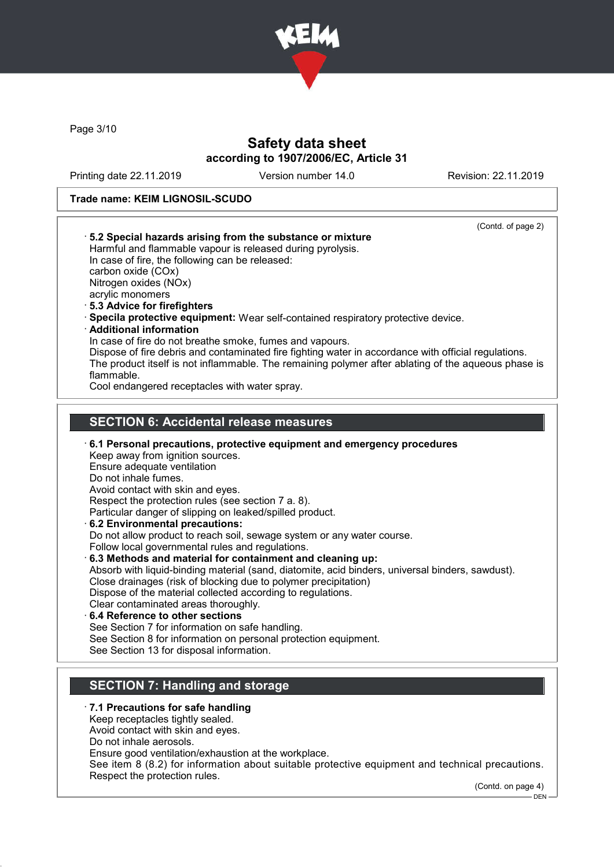

Page 3/10

# Safety data sheet according to 1907/2006/EC, Article 31

Printing date 22.11.2019 Version number 14.0 Revision: 22.11.2019

## Trade name: KEIM LIGNOSIL-SCUDO

| (Contd. of page 2)<br>5.2 Special hazards arising from the substance or mixture<br>Harmful and flammable vapour is released during pyrolysis.<br>In case of fire, the following can be released:<br>carbon oxide (COx)<br>Nitrogen oxides (NOx)<br>acrylic monomers<br>5.3 Advice for firefighters<br>Specila protective equipment: Wear self-contained respiratory protective device.<br><b>Additional information</b><br>In case of fire do not breathe smoke, fumes and vapours.<br>Dispose of fire debris and contaminated fire fighting water in accordance with official regulations.<br>The product itself is not inflammable. The remaining polymer after ablating of the aqueous phase is<br>flammable.<br>Cool endangered receptacles with water spray.                                                                                                                                                                                                                                                                         |  |
|-------------------------------------------------------------------------------------------------------------------------------------------------------------------------------------------------------------------------------------------------------------------------------------------------------------------------------------------------------------------------------------------------------------------------------------------------------------------------------------------------------------------------------------------------------------------------------------------------------------------------------------------------------------------------------------------------------------------------------------------------------------------------------------------------------------------------------------------------------------------------------------------------------------------------------------------------------------------------------------------------------------------------------------------|--|
|                                                                                                                                                                                                                                                                                                                                                                                                                                                                                                                                                                                                                                                                                                                                                                                                                                                                                                                                                                                                                                           |  |
| <b>SECTION 6: Accidental release measures</b>                                                                                                                                                                                                                                                                                                                                                                                                                                                                                                                                                                                                                                                                                                                                                                                                                                                                                                                                                                                             |  |
| 6.1 Personal precautions, protective equipment and emergency procedures<br>Keep away from ignition sources.<br>Ensure adequate ventilation<br>Do not inhale fumes.<br>Avoid contact with skin and eyes.<br>Respect the protection rules (see section 7 a. 8).<br>Particular danger of slipping on leaked/spilled product.<br>6.2 Environmental precautions:<br>Do not allow product to reach soil, sewage system or any water course.<br>Follow local governmental rules and regulations.<br>6.3 Methods and material for containment and cleaning up:<br>Absorb with liquid-binding material (sand, diatomite, acid binders, universal binders, sawdust).<br>Close drainages (risk of blocking due to polymer precipitation)<br>Dispose of the material collected according to regulations.<br>Clear contaminated areas thoroughly.<br>6.4 Reference to other sections<br>See Section 7 for information on safe handling.<br>See Section 8 for information on personal protection equipment.<br>See Section 13 for disposal information. |  |
| <b>SECTION 7: Handling and storage</b>                                                                                                                                                                                                                                                                                                                                                                                                                                                                                                                                                                                                                                                                                                                                                                                                                                                                                                                                                                                                    |  |
|                                                                                                                                                                                                                                                                                                                                                                                                                                                                                                                                                                                                                                                                                                                                                                                                                                                                                                                                                                                                                                           |  |
| .7.1 Precautions for safe handling<br>Keep receptacles tightly sealed.<br>Avoid contact with skin and eyes.<br>Do not inhale aerosols.                                                                                                                                                                                                                                                                                                                                                                                                                                                                                                                                                                                                                                                                                                                                                                                                                                                                                                    |  |

Ensure good ventilation/exhaustion at the workplace.

See item 8 (8.2) for information about suitable protective equipment and technical precautions. Respect the protection rules.

(Contd. on page 4)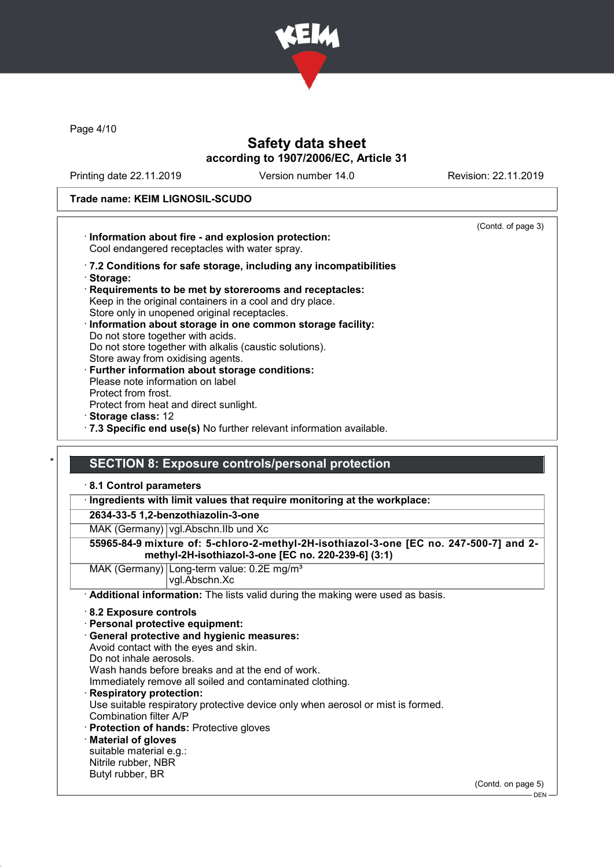

Page 4/10

# Safety data sheet according to 1907/2006/EC, Article 31

Printing date 22.11.2019 Version number 14.0 Revision: 22.11.2019

# Trade name: KEIM LIGNOSIL-SCUDO

|                                                                                                                                                                                                                                                                     | (Contd. of page 3) |
|---------------------------------------------------------------------------------------------------------------------------------------------------------------------------------------------------------------------------------------------------------------------|--------------------|
| · Information about fire - and explosion protection:<br>Cool endangered receptacles with water spray.                                                                                                                                                               |                    |
| .7.2 Conditions for safe storage, including any incompatibilities<br>· Storage:                                                                                                                                                                                     |                    |
| Requirements to be met by storerooms and receptacles:<br>Keep in the original containers in a cool and dry place.<br>Store only in unopened original receptacles.<br>Information about storage in one common storage facility:<br>Do not store together with acids. |                    |
| Do not store together with alkalis (caustic solutions).<br>Store away from oxidising agents.<br>· Further information about storage conditions:<br>Please note information on label                                                                                 |                    |
| Protect from frost.<br>Protect from heat and direct sunlight.                                                                                                                                                                                                       |                    |
| Storage class: 12<br>.7.3 Specific end use(s) No further relevant information available.                                                                                                                                                                            |                    |
|                                                                                                                                                                                                                                                                     |                    |
| <b>SECTION 8: Exposure controls/personal protection</b><br>8.1 Control parameters                                                                                                                                                                                   |                    |
| · Ingredients with limit values that require monitoring at the workplace:                                                                                                                                                                                           |                    |
| 2634-33-5 1,2-benzothiazolin-3-one                                                                                                                                                                                                                                  |                    |
| MAK (Germany)   vgl. Abschn. IIb und Xc                                                                                                                                                                                                                             |                    |
| 55965-84-9 mixture of: 5-chloro-2-methyl-2H-isothiazol-3-one [EC no. 247-500-7] and 2-<br>methyl-2H-isothiazol-3-one [EC no. 220-239-6] (3:1)                                                                                                                       |                    |
| MAK (Germany) Long-term value: 0.2E mg/m <sup>3</sup><br>vgl.Abschn.Xc                                                                                                                                                                                              |                    |
| Additional information: The lists valid during the making were used as basis.                                                                                                                                                                                       |                    |
| 8.2 Exposure controls                                                                                                                                                                                                                                               |                    |
| · Personal protective equipment:                                                                                                                                                                                                                                    |                    |
| · General protective and hygienic measures:<br>Avoid contact with the eyes and skin.                                                                                                                                                                                |                    |
| Do not inhale aerosols.                                                                                                                                                                                                                                             |                    |
| Wash hands before breaks and at the end of work.                                                                                                                                                                                                                    |                    |
| Immediately remove all soiled and contaminated clothing.                                                                                                                                                                                                            |                    |
| <b>Respiratory protection:</b><br>Use suitable respiratory protective device only when aerosol or mist is formed.                                                                                                                                                   |                    |
| Combination filter A/P                                                                                                                                                                                                                                              |                    |
| Protection of hands: Protective gloves                                                                                                                                                                                                                              |                    |
| <b>Material of gloves</b>                                                                                                                                                                                                                                           |                    |
| suitable material e.g.:                                                                                                                                                                                                                                             |                    |
| Nitrile rubber, NBR<br>Butyl rubber, BR                                                                                                                                                                                                                             |                    |
|                                                                                                                                                                                                                                                                     | (Contd. on page 5) |
|                                                                                                                                                                                                                                                                     | <b>DEN</b>         |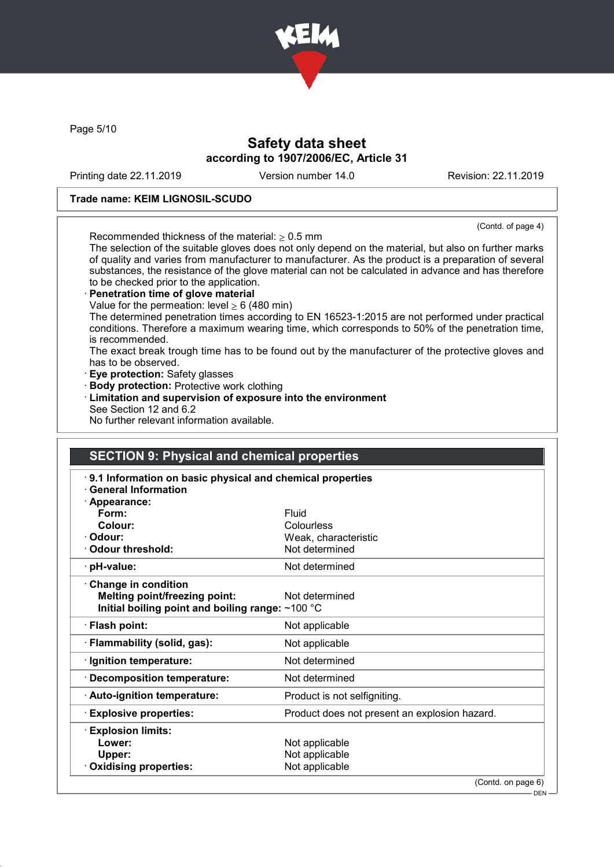

Page 5/10

# Safety data sheet according to 1907/2006/EC, Article 31

Printing date 22.11.2019 Version number 14.0 Revision: 22.11.2019

## Trade name: KEIM LIGNOSIL-SCUDO

(Contd. of page 4)

Recommended thickness of the material:  $> 0.5$  mm The selection of the suitable gloves does not only depend on the material, but also on further marks of quality and varies from manufacturer to manufacturer. As the product is a preparation of several substances, the resistance of the glove material can not be calculated in advance and has therefore to be checked prior to the application.

## Penetration time of glove material

Value for the permeation: level  $\geq 6$  (480 min)

The determined penetration times according to EN 16523-1:2015 are not performed under practical conditions. Therefore a maximum wearing time, which corresponds to 50% of the penetration time, is recommended.

The exact break trough time has to be found out by the manufacturer of the protective gloves and has to be observed.

- · Eye protection: Safety glasses
- · Body protection: Protective work clothing
- · Limitation and supervision of exposure into the environment See Section 12 and 6.2
- No further relevant information available.

# SECTION 9: Physical and chemical properties

| 9.1 Information on basic physical and chemical properties<br><b>General Information</b> |                                               |  |
|-----------------------------------------------------------------------------------------|-----------------------------------------------|--|
| $\cdot$ Appearance:                                                                     |                                               |  |
| Form:                                                                                   | Fluid                                         |  |
| Colour:                                                                                 | Colourless                                    |  |
| · Odour:                                                                                | Weak, characteristic                          |  |
| Odour threshold:                                                                        | Not determined                                |  |
| · pH-value:                                                                             | Not determined                                |  |
| $\cdot$ Change in condition                                                             |                                               |  |
| <b>Melting point/freezing point:</b>                                                    | Not determined                                |  |
| Initial boiling point and boiling range: $~100$ °C                                      |                                               |  |
| · Flash point:                                                                          | Not applicable                                |  |
| · Flammability (solid, gas):                                                            | Not applicable                                |  |
| · Ignition temperature:                                                                 | Not determined                                |  |
| · Decomposition temperature:                                                            | Not determined                                |  |
| $\cdot$ Auto-ignition temperature:                                                      | Product is not selfigniting.                  |  |
| <b>Explosive properties:</b>                                                            | Product does not present an explosion hazard. |  |
| <b>Explosion limits:</b>                                                                |                                               |  |
| Lower:                                                                                  | Not applicable                                |  |
| Upper:                                                                                  | Not applicable                                |  |
| Oxidising properties:                                                                   | Not applicable                                |  |
|                                                                                         | (Contd. on page 6)                            |  |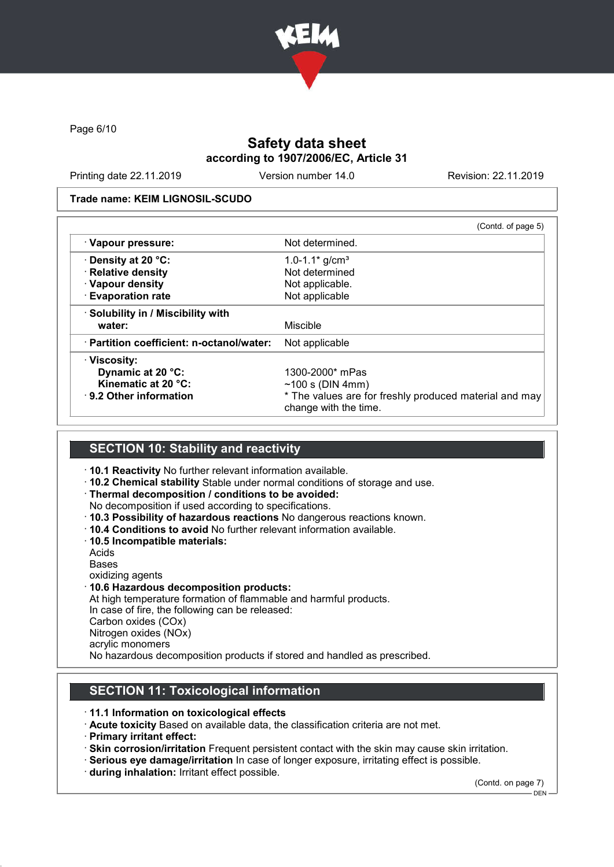

Page 6/10

# Safety data sheet according to 1907/2006/EC, Article 31

Printing date 22.11.2019 Version number 14.0 Revision: 22.11.2019

### Trade name: KEIM LIGNOSIL-SCUDO

|                                           | (Contd. of page 5)                                                              |
|-------------------------------------------|---------------------------------------------------------------------------------|
| · Vapour pressure:                        | Not determined.                                                                 |
| ⋅ Density at 20 °C:                       | 1.0-1.1 $*$ g/cm <sup>3</sup>                                                   |
| · Relative density                        | Not determined                                                                  |
| · Vapour density                          | Not applicable.                                                                 |
| <b>Evaporation rate</b>                   | Not applicable                                                                  |
| · Solubility in / Miscibility with        |                                                                                 |
| water:                                    | Miscible                                                                        |
| · Partition coefficient: n-octanol/water: | Not applicable                                                                  |
| <b>⋅Viscosity:</b>                        |                                                                                 |
| Dynamic at 20 °C:                         | 1300-2000* mPas                                                                 |
| Kinematic at 20 °C:                       | $~100$ s (DIN 4mm)                                                              |
| $\cdot$ 9.2 Other information             | * The values are for freshly produced material and may<br>change with the time. |

## SECTION 10: Stability and reactivity

- · 10.1 Reactivity No further relevant information available.
- · 10.2 Chemical stability Stable under normal conditions of storage and use.
- · Thermal decomposition / conditions to be avoided:
- No decomposition if used according to specifications.
- · 10.3 Possibility of hazardous reactions No dangerous reactions known.
- · 10.4 Conditions to avoid No further relevant information available.
- · 10.5 Incompatible materials:
- Acids

Bases

- oxidizing agents
- · 10.6 Hazardous decomposition products:

At high temperature formation of flammable and harmful products. In case of fire, the following can be released: Carbon oxides (COx) Nitrogen oxides (NOx) acrylic monomers No hazardous decomposition products if stored and handled as prescribed.

# SECTION 11: Toxicological information

- · 11.1 Information on toxicological effects
- · Acute toxicity Based on available data, the classification criteria are not met.
- · Primary irritant effect:
- · Skin corrosion/irritation Frequent persistent contact with the skin may cause skin irritation.
- · Serious eye damage/irritation In case of longer exposure, irritating effect is possible.
- · during inhalation: Irritant effect possible.

(Contd. on page 7)

 $-$  DEN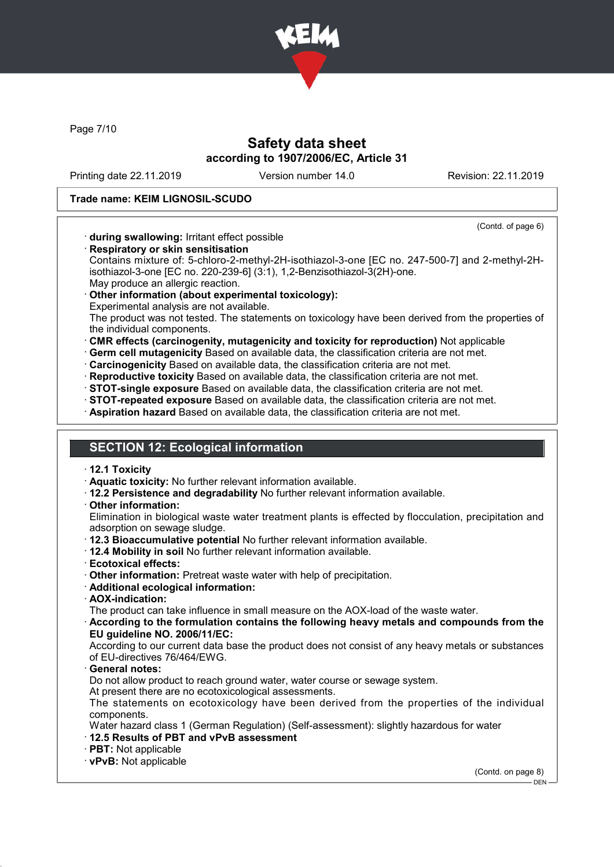

Page 7/10

# Safety data sheet according to 1907/2006/EC, Article 31

Printing date 22.11.2019 Version number 14.0 Revision: 22.11.2019

## Trade name: KEIM LIGNOSIL-SCUDO

(Contd. of page 6)

- · during swallowing: Irritant effect possible
- · Respiratory or skin sensitisation

Contains mixture of: 5-chloro-2-methyl-2H-isothiazol-3-one [EC no. 247-500-7] and 2-methyl-2Hisothiazol-3-one [EC no. 220-239-6] (3:1), 1,2-Benzisothiazol-3(2H)-one. May produce an allergic reaction.

Other information (about experimental toxicology):

Experimental analysis are not available.

The product was not tested. The statements on toxicology have been derived from the properties of the individual components.

- · CMR effects (carcinogenity, mutagenicity and toxicity for reproduction) Not applicable
- · Germ cell mutagenicity Based on available data, the classification criteria are not met.
- · Carcinogenicity Based on available data, the classification criteria are not met.
- · Reproductive toxicity Based on available data, the classification criteria are not met.
- · STOT-single exposure Based on available data, the classification criteria are not met.
- · STOT-repeated exposure Based on available data, the classification criteria are not met.
- · Aspiration hazard Based on available data, the classification criteria are not met.

## SECTION 12: Ecological information

- · 12.1 Toxicity
- · Aquatic toxicity: No further relevant information available.
- · 12.2 Persistence and degradability No further relevant information available.
- · Other information:

Elimination in biological waste water treatment plants is effected by flocculation, precipitation and adsorption on sewage sludge.

- · 12.3 Bioaccumulative potential No further relevant information available.
- · 12.4 Mobility in soil No further relevant information available.
- · Ecotoxical effects:
- · Other information: Pretreat waste water with help of precipitation.
- · Additional ecological information:
- · AOX-indication:

The product can take influence in small measure on the AOX-load of the waste water.

· According to the formulation contains the following heavy metals and compounds from the EU guideline NO. 2006/11/EC:

According to our current data base the product does not consist of any heavy metals or substances of EU-directives 76/464/EWG.

General notes:

Do not allow product to reach ground water, water course or sewage system.

At present there are no ecotoxicological assessments.

The statements on ecotoxicology have been derived from the properties of the individual components.

Water hazard class 1 (German Regulation) (Self-assessment): slightly hazardous for water · 12.5 Results of PBT and vPvB assessment

- 
- · PBT: Not applicable
- · vPvB: Not applicable

(Contd. on page 8)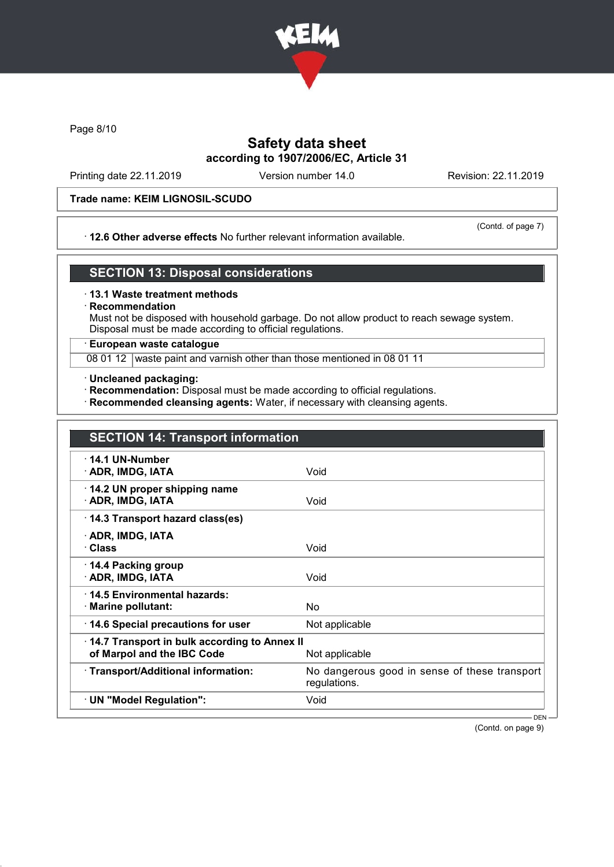

Page 8/10

# Safety data sheet according to 1907/2006/EC, Article 31

Printing date 22.11.2019 Version number 14.0 Revision: 22.11.2019

## Trade name: KEIM LIGNOSIL-SCUDO

### · 12.6 Other adverse effects No further relevant information available.

(Contd. of page 7)

## SECTION 13: Disposal considerations

### · 13.1 Waste treatment methods

## **Recommendation**

Must not be disposed with household garbage. Do not allow product to reach sewage system. Disposal must be made according to official regulations.

## · European waste catalogue

08 01 12 waste paint and varnish other than those mentioned in 08 01 11

- · Uncleaned packaging:
- · Recommendation: Disposal must be made according to official regulations.
- · Recommended cleansing agents: Water, if necessary with cleansing agents.

| <b>SECTION 14: Transport information</b>                                                     |                                                               |
|----------------------------------------------------------------------------------------------|---------------------------------------------------------------|
| $\cdot$ 14.1 UN-Number<br>· ADR, IMDG, IATA                                                  | Void                                                          |
| 14.2 UN proper shipping name<br>· ADR, IMDG, IATA                                            | Void                                                          |
| 14.3 Transport hazard class(es)                                                              |                                                               |
| · ADR, IMDG, IATA<br>· Class                                                                 | Void                                                          |
| $\cdot$ 14.4 Packing group<br>· ADR, IMDG, IATA                                              | Void                                                          |
| ⋅14.5 Environmental hazards:<br>$\cdot$ Marine pollutant:                                    | No                                                            |
| 14.6 Special precautions for user                                                            | Not applicable                                                |
| 14.7 Transport in bulk according to Annex II<br>of Marpol and the IBC Code<br>Not applicable |                                                               |
| · Transport/Additional information:                                                          | No dangerous good in sense of these transport<br>regulations. |
| · UN "Model Regulation":                                                                     | Void                                                          |

(Contd. on page 9)

DEN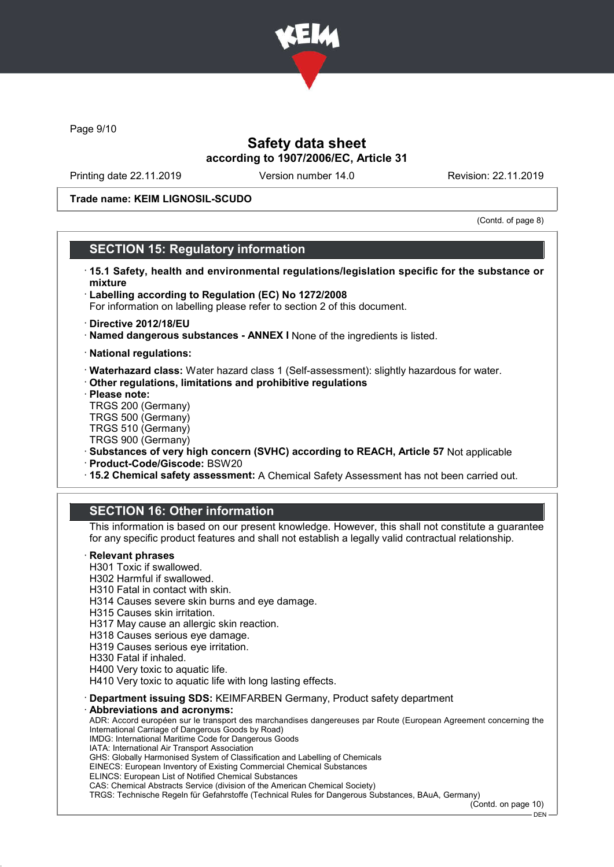

Page 9/10

# Safety data sheet according to 1907/2006/EC, Article 31

Printing date 22.11.2019 Version number 14.0 Revision: 22.11.2019

## Trade name: KEIM LIGNOSIL-SCUDO

(Contd. of page 8)

## SECTION 15: Regulatory information

- · 15.1 Safety, health and environmental regulations/legislation specific for the substance or mixture
- · Labelling according to Regulation (EC) No 1272/2008
- For information on labelling please refer to section 2 of this document.
- · Directive 2012/18/EU
- · Named dangerous substances ANNEX I None of the ingredients is listed.
- · National regulations:
- · Waterhazard class: Water hazard class 1 (Self-assessment): slightly hazardous for water.
- · Other regulations, limitations and prohibitive regulations
- · Please note:
- TRGS 200 (Germany) TRGS 500 (Germany)
- TRGS 510 (Germany)
- TRGS 900 (Germany)
- · Substances of very high concern (SVHC) according to REACH, Article 57 Not applicable
- · Product-Code/Giscode: BSW20
- · 15.2 Chemical safety assessment: A Chemical Safety Assessment has not been carried out.

## SECTION 16: Other information

This information is based on our present knowledge. However, this shall not constitute a guarantee for any specific product features and shall not establish a legally valid contractual relationship.

### **Relevant phrases**

- H301 Toxic if swallowed.
- H302 Harmful if swallowed.
- H310 Fatal in contact with skin.
- H314 Causes severe skin burns and eye damage.
- H315 Causes skin irritation.
- H317 May cause an allergic skin reaction.
- H318 Causes serious eye damage.
- H319 Causes serious eye irritation.
- H330 Fatal if inhaled.
- H400 Very toxic to aquatic life.
- H410 Very toxic to aquatic life with long lasting effects.
- · Department issuing SDS: KEIMFARBEN Germany, Product safety department

#### Abbreviations and acronyms:

ADR: Accord européen sur le transport des marchandises dangereuses par Route (European Agreement concerning the International Carriage of Dangerous Goods by Road)

- IMDG: International Maritime Code for Dangerous Goods
- IATA: International Air Transport Association
- GHS: Globally Harmonised System of Classification and Labelling of Chemicals EINECS: European Inventory of Existing Commercial Chemical Substances
- ELINCS: European List of Notified Chemical Substances
- 

CAS: Chemical Abstracts Service (division of the American Chemical Society) TRGS: Technische Regeln für Gefahrstoffe (Technical Rules for Dangerous Substances, BAuA, Germany)

(Contd. on page 10)